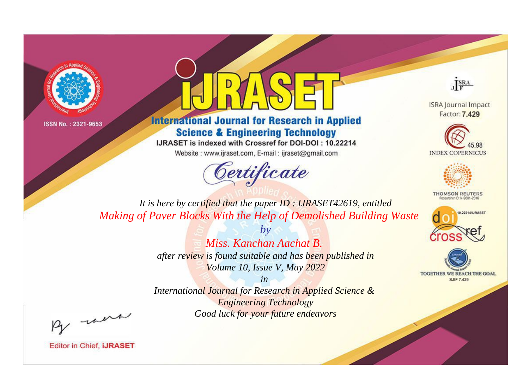



**International Journal for Research in Applied Science & Engineering Technology** 

IJRASET is indexed with Crossref for DOI-DOI: 10.22214

Website: www.ijraset.com, E-mail: ijraset@gmail.com



JERA

**ISRA Journal Impact** Factor: 7.429





**THOMSON REUTERS** 



TOGETHER WE REACH THE GOAL **SJIF 7.429** 

*It is here by certified that the paper ID : IJRASET42619, entitled Making of Paver Blocks With the Help of Demolished Building Waste*

> *by Miss. Kanchan Aachat B. after review is found suitable and has been published in Volume 10, Issue V, May 2022*

> > *in*

*International Journal for Research in Applied Science & Engineering Technology Good luck for your future endeavors*

By morn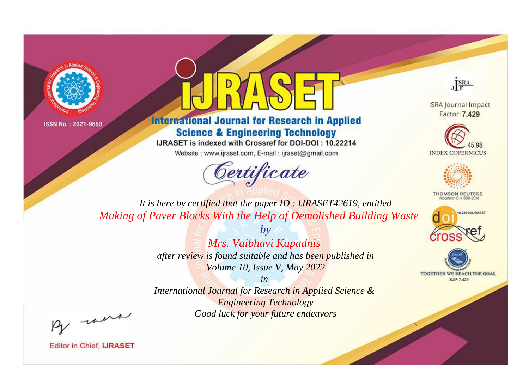



**International Journal for Research in Applied Science & Engineering Technology** 

IJRASET is indexed with Crossref for DOI-DOI: 10.22214

Website: www.ijraset.com, E-mail: ijraset@gmail.com



JERA

**ISRA Journal Impact** Factor: 7.429





**THOMSON REUTERS** 



TOGETHER WE REACH THE GOAL **SJIF 7.429** 

*It is here by certified that the paper ID : IJRASET42619, entitled Making of Paver Blocks With the Help of Demolished Building Waste*

> *by Mrs. Vaibhavi Kapadnis after review is found suitable and has been published in Volume 10, Issue V, May 2022*

> > *in*

*International Journal for Research in Applied Science & Engineering Technology Good luck for your future endeavors*

By morn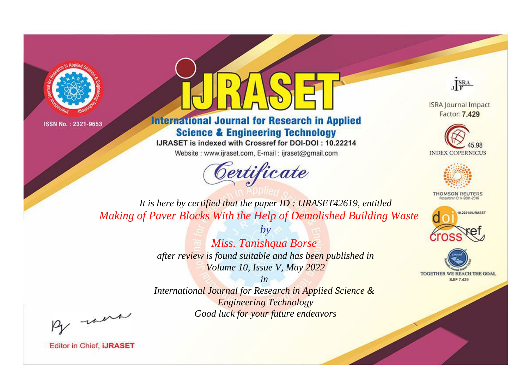



**International Journal for Research in Applied Science & Engineering Technology** 

IJRASET is indexed with Crossref for DOI-DOI: 10.22214

Website: www.ijraset.com, E-mail: ijraset@gmail.com



JERA

**ISRA Journal Impact** Factor: 7.429





**THOMSON REUTERS** 



TOGETHER WE REACH THE GOAL **SJIF 7.429** 

*It is here by certified that the paper ID : IJRASET42619, entitled Making of Paver Blocks With the Help of Demolished Building Waste*

> *by Miss. Tanishqua Borse after review is found suitable and has been published in Volume 10, Issue V, May 2022*

> > *in*

*International Journal for Research in Applied Science & Engineering Technology Good luck for your future endeavors*

By morn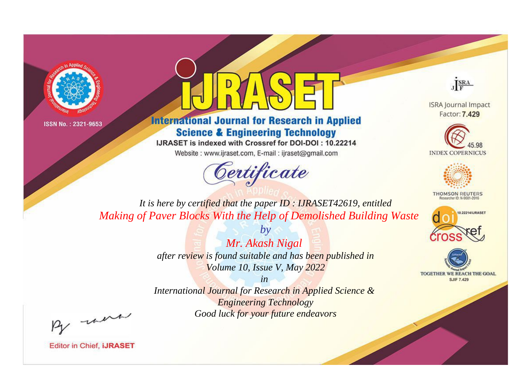



**International Journal for Research in Applied Science & Engineering Technology** 

IJRASET is indexed with Crossref for DOI-DOI: 10.22214

Website: www.ijraset.com, E-mail: ijraset@gmail.com



JERA

**ISRA Journal Impact** Factor: 7.429





**THOMSON REUTERS** 



TOGETHER WE REACH THE GOAL **SJIF 7.429** 

*It is here by certified that the paper ID : IJRASET42619, entitled Making of Paver Blocks With the Help of Demolished Building Waste*

> *by Mr. Akash Nigal after review is found suitable and has been published in Volume 10, Issue V, May 2022*

> > *in*

*International Journal for Research in Applied Science & Engineering Technology Good luck for your future endeavors*

By morn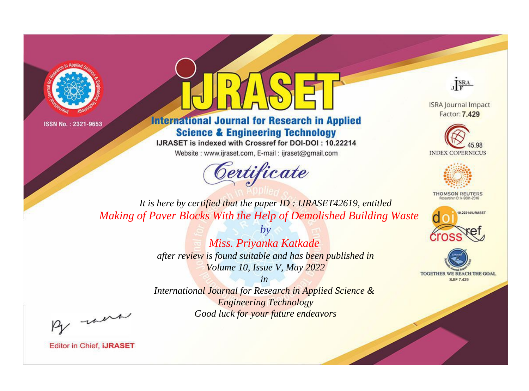



**International Journal for Research in Applied Science & Engineering Technology** 

IJRASET is indexed with Crossref for DOI-DOI: 10.22214

Website: www.ijraset.com, E-mail: ijraset@gmail.com



JERA

**ISRA Journal Impact** Factor: 7.429





**THOMSON REUTERS** 



TOGETHER WE REACH THE GOAL **SJIF 7.429** 

*It is here by certified that the paper ID : IJRASET42619, entitled Making of Paver Blocks With the Help of Demolished Building Waste*

> *by Miss. Priyanka Katkade after review is found suitable and has been published in Volume 10, Issue V, May 2022*

*in International Journal for Research in Applied Science & Engineering Technology Good luck for your future endeavors*

By morn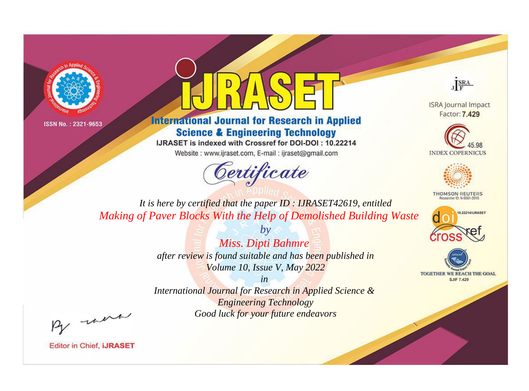



**International Journal for Research in Applied Science & Engineering Technology** 

IJRASET is indexed with Crossref for DOI-DOI: 10.22214

Website: www.ijraset.com, E-mail: ijraset@gmail.com



JERA

**ISRA Journal Impact** Factor: 7.429





**THOMSON REUTERS** 



TOGETHER WE REACH THE GOAL **SJIF 7.429** 

*It is here by certified that the paper ID : IJRASET42619, entitled Making of Paver Blocks With the Help of Demolished Building Waste*

> *by Miss. Dipti Bahmre after review is found suitable and has been published in Volume 10, Issue V, May 2022*

> > *in*

*International Journal for Research in Applied Science & Engineering Technology Good luck for your future endeavors*

By morn